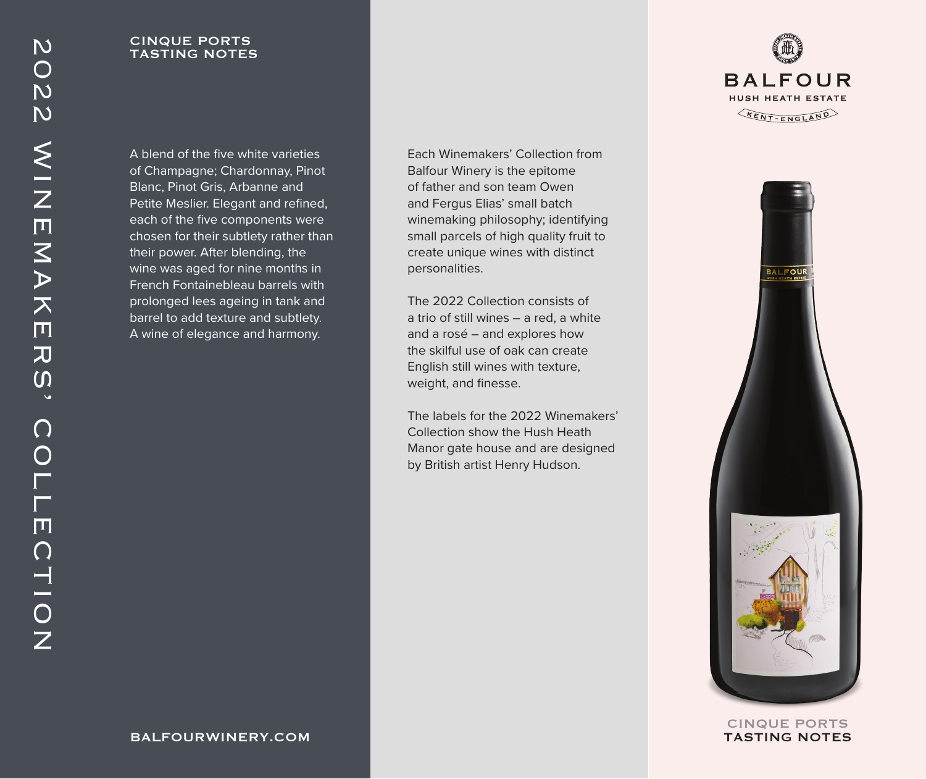CINQUE PORTS TASTING NOTES

A blend of the five white varieties of Champagne; Chardonnay, Pinot Blanc, Pinot Gris, Arbanne and Petite Meslier. Elegant and refined, each of the five components were chosen for their subtlety rather than their power. After blending, the wine was aged for nine months in French Fontainebleau barrels with prolonged lees ageing in tank and barrel to add texture and subtlety. A wine of elegance and harmony.

Each Winemakers' Collection from Balfour Winery is the epitome of father and son team Owen and Fergus Elias' small batch winemaking philosophy; identifying small parcels of high quality fruit to create unique wines with distinct personalities.

The 2022 Collection consists of a trio of still wines – a red, a white and a rosé – and explores how the skilful use of oak can create English still wines with texture, weight, and finesse.

The labels for the 2022 Winemakers' Collection show the Hush Heath Manor gate house and are designed by British artist Henry Hudson.





CINQUE PORTS TASTING NOTES